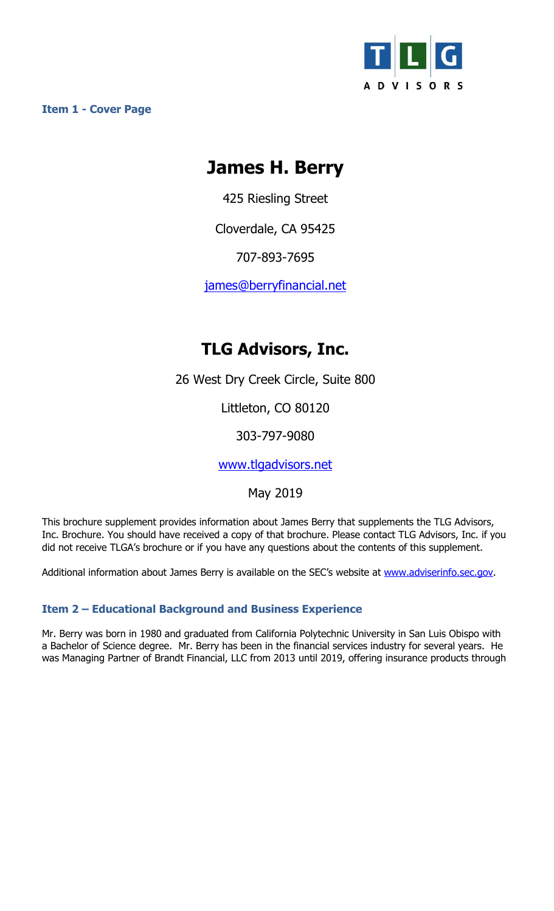

**Item 1 - Cover Page** 

# **James H. Berry**

425 Riesling Street

Cloverdale, CA 95425

707-893-7695

james@berryfinancial.net

## **TLG Advisors, Inc.**

26 West Dry Creek Circle, Suite 800

Littleton, CO 80120

303-797-9080

www.tlgadvisors.net

May 2019

This brochure supplement provides information about James Berry that supplements the TLG Advisors, Inc. Brochure. You should have received a copy of that brochure. Please contact TLG Advisors, Inc. if you did not receive TLGA's brochure or if you have any questions about the contents of this supplement.

Additional information about James Berry is available on the SEC's website at www.adviserinfo.sec.gov.

### **Item 2 – Educational Background and Business Experience**

Mr. Berry was born in 1980 and graduated from California Polytechnic University in San Luis Obispo with a Bachelor of Science degree. Mr. Berry has been in the financial services industry for several years. He was Managing Partner of Brandt Financial, LLC from 2013 until 2019, offering insurance products through